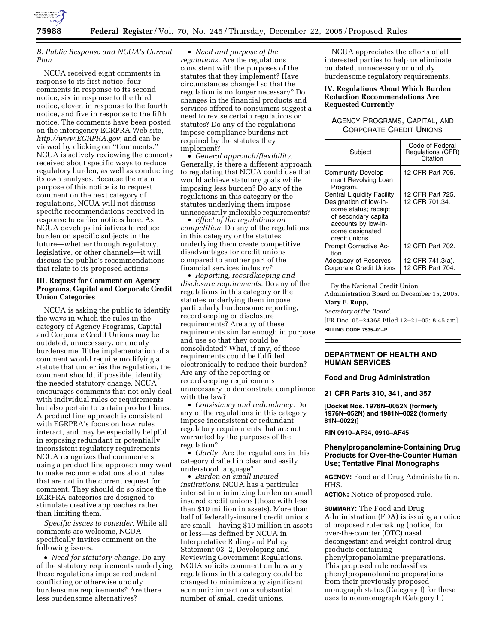

# *B. Public Response and NCUA's Current Plan*

NCUA received eight comments in response to its first notice, four comments in response to its second notice, six in response to the third notice, eleven in response to the fourth notice, and five in response to the fifth notice. The comments have been posted on the interagency EGRPRA Web site, *http://www.EGRPRA.gov*, and can be viewed by clicking on ''Comments.'' NCUA is actively reviewing the coments received about specific ways to reduce regulatory burden, as well as conducting its own analyses. Because the main purpose of this notice is to request comment on the next category of regulations, NCUA will not discuss specific recommendations received in response to earlier notices here. As NCUA develops initiatives to reduce burden on specific subjects in the future—whether through regulatory, legislative, or other channels—it will discuss the public's recommendations that relate to its proposed actions.

# **III. Request for Comment on Agency Programs, Capital and Corporate Credit Union Categories**

NCUA is asking the public to identify the ways in which the rules in the category of Agency Programs, Capital and Corporate Credit Unions may be outdated, unnecessary, or unduly burdensome. If the implementation of a comment would require modifying a statute that underlies the regulation, the comment should, if possible, identify the needed statutory change. NCUA encourages comments that not only deal with individual rules or requirements but also pertain to certain product lines. A product line approach is consistent with EGRPRA's focus on how rules interact, and may be especially helpful in exposing redundant or potentially inconsistent regulatory requirements. NCUA recognizes that commenters using a product line approach may want to make recommendations about rules that are not in the current request for comment. They should do so since the EGRPRA categories are designed to stimulate creative approaches rather than limiting them.

*Specific issues to consider.* While all comments are welcome, NCUA specifically invites comment on the following issues:

• *Need for statutory change.* Do any of the statutory requirements underlying these regulations impose redundant, conflicting or otherwise unduly burdensome requirements? Are there less burdensome alternatives?

• *Need and purpose of the regulations.* Are the regulations consistent with the purposes of the statutes that they implement? Have circumstances changed so that the regulation is no longer necessary? Do changes in the financial products and services offered to consumers suggest a need to revise certain regulations or statutes? Do any of the regulations impose compliance burdens not required by the statutes they implement?

• *General approach/flexibility.*  Generally, is there a different approach to regulating that NCUA could use that would achieve statutory goals while imposing less burden? Do any of the regulations in this category or the statutes underlying them impose unnecessarily inflexible requirements?

• *Effect of the regulations on competition.* Do any of the regulations in this category or the statutes underlying them create competitive disadvantages for credit unions compared to another part of the financial services industry?

• *Reporting, recordkeeping and disclosure requirements.* Do any of the regulations in this category or the statutes underlying them impose particularly burdensome reporting, recordkeeping or disclosure requirements? Are any of these requirements similar enough in purpose and use so that they could be consolidated? What, if any, of these requirements could be fulfilled electronically to reduce their burden? Are any of the reporting or recordkeeping requirements unnecessary to demonstrate compliance with the law?

• *Consistency and redundancy.* Do any of the regulations in this category impose inconsistent or redundant regulatory requirements that are not warranted by the purposes of the regulation?

• *Clarity*. Are the regulations in this category drafted in clear and easily understood language?

• *Burden on small insured institutions.* NCUA has a particular interest in minimizing burden on small insured credit unions (those with less than \$10 million in assets). More than half of federally-insured credit unions are small—having \$10 million in assets or less—as defined by NCUA in Interpretative Ruling and Policy Statement 03–2, Developing and Reviewing Government Regulations. NCUA solicits comment on how any regulations in this category could be changed to minimize any significant economic impact on a substantial number of small credit unions.

NCUA appreciates the efforts of all interested parties to help us eliminate outdated, unnecessary or unduly burdensome regulatory requirements.

# **IV. Regulations About Which Burden Reduction Recommendations Are Requested Currently**

# AGENCY PROGRAMS, CAPITAL, AND CORPORATE CREDIT UNIONS

| Subject                                               | Code of Federal<br>Regulations (CFR)<br>Citation |
|-------------------------------------------------------|--------------------------------------------------|
| Community Develop-<br>ment Revolving Loan<br>Program. | 12 CFR Part 705.                                 |
| Central Liquidity Facility                            | 12 CFR Part 725.                                 |
| Designation of low-in-                                | 12 CFR 701.34.                                   |
| come status; receipt<br>of secondary capital          |                                                  |
| accounts by low-in-<br>come designated                |                                                  |
| credit unions.                                        |                                                  |
| <b>Prompt Corrective Ac-</b><br>tion.                 | 12 CFR Part 702.                                 |
| Adequacy of Reserves                                  | 12 CFR 741.3(a).                                 |
| <b>Corporate Credit Unions</b>                        | 12 CFR Part 704.                                 |

By the National Credit Union

Administration Board on December 15, 2005.

# **Mary F. Rupp,**

*Secretary of the Board.* 

[FR Doc. 05–24368 Filed 12–21–05; 8:45 am] **BILLING CODE 7535–01–P** 

# **DEPARTMENT OF HEALTH AND HUMAN SERVICES**

# **Food and Drug Administration**

**21 CFR Parts 310, 341, and 357** 

**[Docket Nos. 1976N–0052N (formerly 1976N–052N) and 1981N–0022 (formerly 81N–0022)]** 

**RIN 0910–AF34, 0910–AF45** 

### **Phenylpropanolamine-Containing Drug Products for Over-the-Counter Human Use; Tentative Final Monographs**

**AGENCY:** Food and Drug Administration, HHS.

**ACTION:** Notice of proposed rule.

**SUMMARY:** The Food and Drug Administration (FDA) is issuing a notice of proposed rulemaking (notice) for over-the-counter (OTC) nasal decongestant and weight control drug products containing phenylpropanolamine preparations. This proposed rule reclassifies phenylpropanolamine preparations from their previously proposed monograph status (Category I) for these uses to nonmonograph (Category II)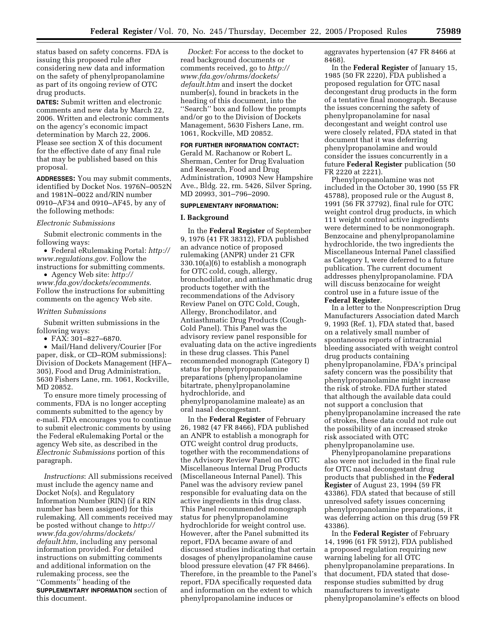status based on safety concerns. FDA is issuing this proposed rule after considering new data and information on the safety of phenylpropanolamine as part of its ongoing review of OTC drug products.

**DATES:** Submit written and electronic comments and new data by March 22, 2006. Written and electronic comments on the agency's economic impact determination by March 22, 2006. Please see section X of this document for the effective date of any final rule that may be published based on this proposal.

**ADDRESSES:** You may submit comments, identified by Docket Nos. 1976N–0052N and 1981N–0022 and/RIN number 0910–AF34 and 0910–AF45, by any of the following methods:

#### *Electronic Submissions*

Submit electronic comments in the following ways:

• Federal eRulemaking Portal: *http:// www.regulations.gov*. Follow the instructions for submitting comments.

• Agency Web site: *http:// www.fda.gov/dockets/ecomments*. Follow the instructions for submitting comments on the agency Web site.

### *Written Submissions*

Submit written submissions in the following ways:

• FAX: 301–827–6870.

• Mail/Hand delivery/Courier [For paper, disk, or CD–ROM submissions]: Division of Dockets Management (HFA– 305), Food and Drug Administration, 5630 Fishers Lane, rm. 1061, Rockville, MD 20852.

To ensure more timely processing of comments, FDA is no longer accepting comments submitted to the agency by e-mail. FDA encourages you to continue to submit electronic comments by using the Federal eRulemaking Portal or the agency Web site, as described in the *Electronic Submissions* portion of this paragraph.

*Instructions*: All submissions received must include the agency name and Docket No(s). and Regulatory Information Number (RIN) (if a RIN number has been assigned) for this rulemaking. All comments received may be posted without change to *http:// www.fda.gov/ohrms/dockets/ default.htm*, including any personal information provided. For detailed instructions on submitting comments and additional information on the rulemaking process, see the ''Comments'' heading of the **SUPPLEMENTARY INFORMATION** section of this document.

*Docket*: For access to the docket to read background documents or comments received, go to *http:// www.fda.gov/ohrms/dockets/ default.htm* and insert the docket number(s), found in brackets in the heading of this document, into the ''Search'' box and follow the prompts and/or go to the Division of Dockets Management, 5630 Fishers Lane, rm. 1061, Rockville, MD 20852.

#### **FOR FURTHER INFORMATION CONTACT:**

Gerald M. Rachanow or Robert L. Sherman, Center for Drug Evaluation and Research, Food and Drug Administration, 10903 New Hampshire Ave., Bldg. 22, rm. 5426, Silver Spring, MD 20993, 301–796–2090.

### **SUPPLEMENTARY INFORMATION:**

# **I. Background**

In the **Federal Register** of September 9, 1976 (41 FR 38312), FDA published an advance notice of proposed rulemaking (ANPR) under 21 CFR 330.10(a)(6) to establish a monograph for OTC cold, cough, allergy, bronchodilator, and antiasthmatic drug products together with the recommendations of the Advisory Review Panel on OTC Cold, Cough, Allergy, Bronchodilator, and Antiasthmatic Drug Products (Cough-Cold Panel). This Panel was the advisory review panel responsible for evaluating data on the active ingredients in these drug classes. This Panel recommended monograph (Category I) status for phenylpropanolamine preparations (phenylpropanolamine bitartrate, phenylpropanolamine hydrochloride, and phenylpropanolamine maleate) as an oral nasal decongestant.

In the **Federal Register** of February 26, 1982 (47 FR 8466), FDA published an ANPR to establish a monograph for OTC weight control drug products, together with the recommendations of the Advisory Review Panel on OTC Miscellaneous Internal Drug Products (Miscellaneous Internal Panel). This Panel was the advisory review panel responsible for evaluating data on the active ingredients in this drug class. This Panel recommended monograph status for phenylpropanolamine hydrochloride for weight control use. However, after the Panel submitted its report, FDA became aware of and discussed studies indicating that certain dosages of phenylpropanolamine cause blood pressure elevation (47 FR 8466). Therefore, in the preamble to the Panel's report, FDA specifically requested data and information on the extent to which phenylpropanolamine induces or

aggravates hypertension (47 FR 8466 at 8468).

In the **Federal Register** of January 15, 1985 (50 FR 2220), FDA published a proposed regulation for OTC nasal decongestant drug products in the form of a tentative final monograph. Because the issues concerning the safety of phenylpropanolamine for nasal decongestant and weight control use were closely related, FDA stated in that document that it was deferring phenylpropanolamine and would consider the issues concurrently in a future **Federal Register** publication (50 FR 2220 at 2221).

Phenylpropanolamine was not included in the October 30, 1990 (55 FR 45788), proposed rule or the August 8, 1991 (56 FR 37792), final rule for OTC weight control drug products, in which 111 weight control active ingredients were determined to be nonmonograph. Benzocaine and phenylpropanolamine hydrochloride, the two ingredients the Miscellaneous Internal Panel classified as Category I, were deferred to a future publication. The current document addresses phenylpropanolamine. FDA will discuss benzocaine for weight control use in a future issue of the **Federal Register**.

In a letter to the Nonprescription Drug Manufacturers Association dated March 9, 1993 (Ref. 1), FDA stated that, based on a relatively small number of spontaneous reports of intracranial bleeding associated with weight control drug products containing phenylpropanolamine, FDA's principal safety concern was the possibility that phenylpropanolamine might increase the risk of stroke. FDA further stated that although the available data could not support a conclusion that phenylpropanolamine increased the rate of strokes, these data could not rule out the possibility of an increased stroke risk associated with OTC phenylpropanolamine use.

Phenylpropanolamine preparations also were not included in the final rule for OTC nasal decongestant drug products that published in the **Federal Register** of August 23, 1994 (59 FR 43386). FDA stated that because of still unresolved safety issues concerning phenylpropanolamine preparations, it was deferring action on this drug (59 FR 43386).

In the **Federal Register** of February 14, 1996 (61 FR 5912), FDA published a proposed regulation requiring new warning labeling for all OTC phenylpropanolamine preparations. In that document, FDA stated that doseresponse studies submitted by drug manufacturers to investigate phenylpropanolamine's effects on blood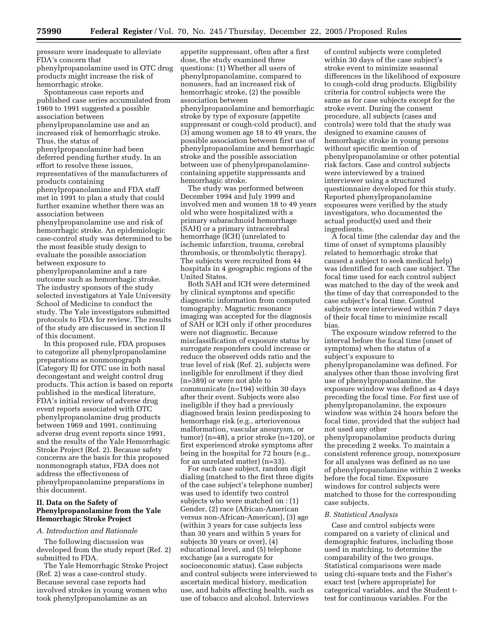pressure were inadequate to alleviate FDA's concern that phenylpropanolamine used in OTC drug products might increase the risk of hemorrhagic stroke.

Spontaneous case reports and published case series accumulated from 1969 to 1991 suggested a possible association between

phenylpropanolamine use and an increased risk of hemorrhagic stroke. Thus, the status of

phenylpropanolamine had been deferred pending further study. In an effort to resolve these issues, representatives of the manufacturers of

products containing phenylpropanolamine and FDA staff met in 1991 to plan a study that could further examine whether there was an

association between phenylpropanolamine use and risk of hemorrhagic stroke. An epidemiologic case-control study was determined to be the most feasible study design to evaluate the possible association between exposure to

phenylpropanolamine and a rare outcome such as hemorrhagic stroke. The industry sponsors of the study selected investigators at Yale University School of Medicine to conduct the study. The Yale investigators submitted protocols to FDA for review. The results of the study are discussed in section II of this document.

In this proposed rule, FDA proposes to categorize all phenylpropanolamine preparations as nonmonograph (Category II) for OTC use in both nasal decongestant and weight control drug products. This action is based on reports published in the medical literature, FDA's initial review of adverse drug event reports associated with OTC phenylpropanolamine drug products between 1969 and 1991, continuing adverse drug event reports since 1991, and the results of the Yale Hemorrhagic Stroke Project (Ref. 2). Because safety concerns are the basis for this proposed nonmonograph status, FDA does not address the effectiveness of phenylpropanolamine preparations in this document.

## **II. Data on the Safety of Phenylpropanolamine from the Yale Hemorrhagic Stroke Project**

### *A. Introduction and Rationale*

The following discussion was developed from the study report (Ref. 2) submitted to FDA.

The Yale Hemorrhagic Stroke Project (Ref. 2) was a case-control study. Because several case reports had involved strokes in young women who took phenylpropanolamine as an

appetite suppressant, often after a first dose, the study examined three questions: (1) Whether all users of phenylpropanolamine, compared to nonusers, had an increased risk of hemorrhagic stroke, (2) the possible association between phenylpropanolamine and hemorrhagic stroke by type of exposure (appetite suppressant or cough-cold product), and (3) among women age 18 to 49 years, the possible association between first use of phenylpropanolamine and hemorrhagic stroke and the possible association between use of phenylpropanolaminecontaining appetite suppressants and hemorrhagic stroke.

The study was performed between December 1994 and July 1999 and involved men and women 18 to 49 years old who were hospitalized with a primary subarachnoid hemorrhage (SAH) or a primary intracerebral hemorrhage (ICH) (unrelated to ischemic infarction, trauma, cerebral thrombosis, or thrombolytic therapy). The subjects were recruited from 44 hospitals in 4 geographic regions of the United States.

Both SAH and ICH were determined by clinical symptoms and specific diagnostic information from computed tomography. Magnetic resonance imaging was accepted for the diagnosis of SAH or ICH only if other procedures were not diagnostic. Because misclassification of exposure status by surrogate responders could increase or reduce the observed odds ratio and the true level of risk (Ref. 2), subjects were ineligible for enrollment if they died (n=389) or were not able to communicate (n=194) within 30 days after their event. Subjects were also ineligible if they had a previously diagnosed brain lesion predisposing to hemorrhage risk (e.g., arteriovenous malformation, vascular aneurysm, or tumor) (n=48), a prior stroke (n=120), or first experienced stroke symptoms after being in the hospital for 72 hours (e.g., for an unrelated matter) (n=33).

For each case subject, random digit dialing (matched to the first three digits of the case subject's telephone number) was used to identify two control subjects who were matched on : (1) Gender, (2) race (African-American versus non-African-American), (3) age (within 3 years for case subjects less than 30 years and within 5 years for subjects 30 years or over), (4) educational level, and (5) telephone exchange (as a surrogate for socioeconomic status). Case subjects and control subjects were interviewed to ascertain medical history, medication use, and habits affecting health, such as use of tobacco and alcohol. Interviews

of control subjects were completed within 30 days of the case subject's stroke event to minimize seasonal differences in the likelihood of exposure to cough-cold drug products. Eligibility criteria for control subjects were the same as for case subjects except for the stroke event. During the consent procedure, all subjects (cases and controls) were told that the study was designed to examine causes of hemorrhagic stroke in young persons without specific mention of phenylpropanolamine or other potential risk factors. Case and control subjects were interviewed by a trained interviewer using a structured questionnaire developed for this study. Reported phenylpropanolamine exposures were verified by the study investigators, who documented the actual product(s) used and their ingredients.

A focal time (the calendar day and the time of onset of symptoms plausibly related to hemorrhagic stroke that caused a subject to seek medical help) was identified for each case subject. The focal time used for each control subject was matched to the day of the week and the time of day that corresponded to the case subject's focal time. Control subjects were interviewed within 7 days of their focal time to minimize recall bias.

The exposure window referred to the interval before the focal time (onset of symptoms) when the status of a subject's exposure to phenylpropanolamine was defined. For analyses other than those involving first use of phenylpropanolamine, the exposure window was defined as 4 days preceding the focal time. For first use of phenylpropanolamine, the exposure window was within 24 hours before the focal time, provided that the subject had not used any other

phenylpropanolamine products during the preceding 2 weeks. To maintain a consistent reference group, nonexposure for all analyses was defined as no use of phenylpropanolamine within 2 weeks before the focal time. Exposure windows for control subjects were matched to those for the corresponding case subjects.

#### *B. Statistical Analysis*

Case and control subjects were compared on a variety of clinical and demographic features, including those used in matching, to determine the comparability of the two groups. Statistical comparisons were made using chi-square tests and the Fisher's exact test (where appropriate) for categorical variables, and the Student ttest for continuous variables. For the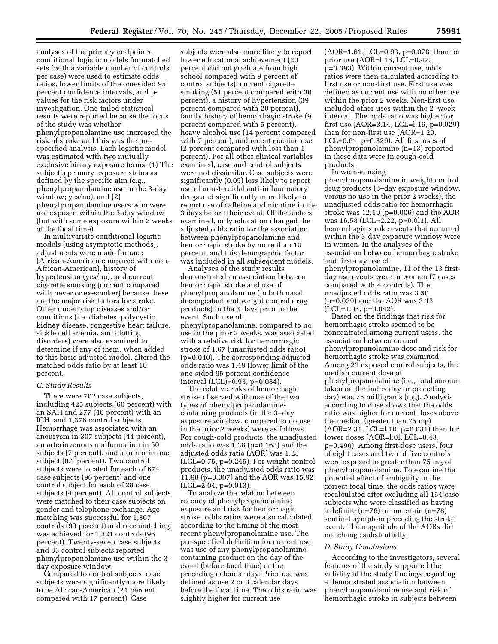analyses of the primary endpoints, conditional logistic models for matched sets (with a variable number of controls per case) were used to estimate odds ratios, lower limits of the one-sided 95 percent confidence intervals, and pvalues for the risk factors under investigation. One-tailed statistical results were reported because the focus of the study was whether phenylpropanolamine use increased the risk of stroke and this was the prespecified analysis. Each logistic model was estimated with two mutually exclusive binary exposure terms: (1) The subject's primary exposure status as defined by the specific aim (e.g., phenylpropanolamine use in the 3-day window; yes/no), and (2) phenylpropanolamine users who were not exposed within the 3-day window (but with some exposure within 2 weeks of the focal time).

In multivariate conditional logistic models (using asymptotic methods), adjustments were made for race (African-American compared with non-African-American), history of hypertension (yes/no), and current cigarette smoking (current compared with never or ex-smoker) because these are the major risk factors for stroke. Other underlying diseases and/or conditions (i.e. diabetes, polycystic kidney disease, congestive heart failure, sickle cell anemia, and clotting disorders) were also examined to determine if any of them, when added to this basic adjusted model, altered the matched odds ratio by at least 10 percent.

#### *C. Study Results*

There were 702 case subjects, including 425 subjects (60 percent) with an SAH and 277 (40 percent) with an ICH, and 1,376 control subjects. Hemorrhage was associated with an aneurysm in 307 subjects (44 percent), an arteriovenous malformation in 50 subjects (7 percent), and a tumor in one subject (0.1 percent). Two control subjects were located for each of 674 case subjects (96 percent) and one control subject for each of 28 case subjects (4 percent). All control subjects were matched to their case subjects on gender and telephone exchange. Age matching was successful for 1,367 controls (99 percent) and race matching was achieved for 1,321 controls (96 percent). Twenty-seven case subjects and 33 control subjects reported phenylpropanolamine use within the 3 day exposure window.

Compared to control subjects, case subjects were significantly more likely to be African-American (21 percent compared with 17 percent). Case

subjects were also more likely to report lower educational achievement (20 percent did not graduate from high school compared with 9 percent of control subjects), current cigarette smoking (51 percent compared with 30 percent), a history of hypertension (39 percent compared with 20 percent), family history of hemorrhagic stroke (9 percent compared with 5 percent), heavy alcohol use (14 percent compared with 7 percent), and recent cocaine use (2 percent compared with less than 1 percent). For all other clinical variables examined, case and control subjects were not dissimilar. Case subjects were significantly (0.05) less likely to report use of nonsteroidal anti-inflammatory drugs and significantly more likely to report use of caffeine and nicotine in the 3 days before their event. Of the factors examined, only education changed the adjusted odds ratio for the association between phenylpropanolamine and hemorrhagic stroke by more than 10 percent, and this demographic factor was included in all subsequent models.

Analyses of the study results demonstrated an association between hemorrhagic stroke and use of phenylpropanolamine (in both nasal decongestant and weight control drug products) in the 3 days prior to the event. Such use of phenylpropanolamine, compared to no use in the prior 2 weeks, was associated with a relative risk for hemorrhagic stroke of 1.67 (unadjusted odds ratio) (p=0.040). The corresponding adjusted odds ratio was 1.49 (lower limit of the one-sided 95 percent confidence interval (LCL)=0.93, p=0.084).

The relative risks of hemorrhagic stroke observed with use of the two types of phenylpropanolaminecontaining products (in the 3–day exposure window, compared to no use in the prior 2 weeks) were as follows. For cough-cold products, the unadjusted odds ratio was 1.38 (p=0.163) and the adjusted odds ratio (AOR) was 1.23 (LCL=0.75, p=0.245). For weight control products, the unadjusted odds ratio was 11.98 (p=0.007) and the AOR was 15.92 (LCL=2.04, p=0.013).

To analyze the relation between recency of phenylpropanolamine exposure and risk for hemorrhagic stroke, odds ratios were also calculated according to the timing of the most recent phenylpropanolamine use. The pre-specified definition for current use was use of any phenylpropanolaminecontaining product on the day of the event (before focal time) or the preceding calendar day. Prior use was defined as use 2 or 3 calendar days before the focal time. The odds ratio was slightly higher for current use

(AOR=1.61, LCL=0.93, p=0.078) than for prior use (AOR=l.16, LCL=0.47, p=0.393). Within current use, odds ratios were then calculated according to first use or non-first use. First use was defined as current use with no other use within the prior 2 weeks. Non-first use included other uses within the 2–week interval. The odds ratio was higher for first use (AOR=3.14, LCL=l.16, p=0.029) than for non-first use (AOR=1.20, LCL=0.61, p=0.329). All first uses of phenylpropanolamine (n=13) reported in these data were in cough-cold products.

In women using

phenylpropanolamine in weight control drug products (3–day exposure window, versus no use in the prior 2 weeks), the unadjusted odds ratio for hemorrhagic stroke was 12.19 (p=0.006) and the AOR was 16.58 (LCL=2.22, p=0.0l1). All hemorrhagic stroke events that occurred within the 3-day exposure window were in women. In the analyses of the association between hemorrhagic stroke and first-day use of phenylpropanolamine, 11 of the 13 firstday use events were in women (7 cases compared with 4 controls). The unadjusted odds ratio was 3.50 (p=0.039) and the AOR was 3.13 (LCL=1.05, p=0.042).

Based on the findings that risk for hemorrhagic stroke seemed to be concentrated among current users, the association between current phenylpropanolamine dose and risk for hemorrhagic stroke was examined. Among 21 exposed control subjects, the median current dose of phenylpropanolamine (i.e., total amount taken on the index day or preceding day) was 75 milligrams (mg). Analysis according to dose shows that the odds ratio was higher for current doses above the median (greater than 75 mg) (AOR=2.31, LCL=l.10, p=0.031) than for lower doses (AOR=l.0l, LCL=0.43, p=0.490). Among first-dose users, four of eight cases and two of five controls were exposed to greater than 75 mg of phenylpropanolamine. To examine the potential effect of ambiguity in the correct focal time, the odds ratios were recalculated after excluding all 154 case subjects who were classified as having a definite (n=76) or uncertain (n=78) sentinel symptom preceding the stroke event. The magnitude of the AORs did not change substantially.

### *D. Study Conclusions*

According to the investigators, several features of the study supported the validity of the study findings regarding a demonstrated association between phenylpropanolamine use and risk of hemorrhagic stroke in subjects between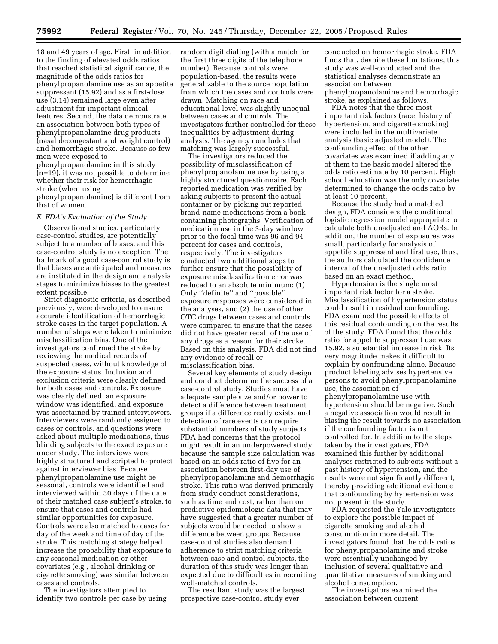18 and 49 years of age. First, in addition to the finding of elevated odds ratios that reached statistical significance, the magnitude of the odds ratios for phenylpropanolamine use as an appetite suppressant (15.92) and as a first-dose use (3.14) remained large even after adjustment for important clinical features. Second, the data demonstrate an association between both types of phenylpropanolamine drug products (nasal decongestant and weight control) and hemorrhagic stroke. Because so few men were exposed to phenylpropanolamine in this study

(n=19), it was not possible to determine whether their risk for hemorrhagic stroke (when using

phenylpropanolamine) is different from that of women.

# *E. FDA's Evaluation of the Study*

Observational studies, particularly case-control studies, are potentially subject to a number of biases, and this case-control study is no exception. The hallmark of a good case-control study is that biases are anticipated and measures are instituted in the design and analysis stages to minimize biases to the greatest extent possible.

Strict diagnostic criteria, as described previously, were developed to ensure accurate identification of hemorrhagic stroke cases in the target population. A number of steps were taken to minimize misclassification bias. One of the investigators confirmed the stroke by reviewing the medical records of suspected cases, without knowledge of the exposure status. Inclusion and exclusion criteria were clearly defined for both cases and controls. Exposure was clearly defined, an exposure window was identified, and exposure was ascertained by trained interviewers. Interviewers were randomly assigned to cases or controls, and questions were asked about multiple medications, thus blinding subjects to the exact exposure under study. The interviews were highly structured and scripted to protect against interviewer bias. Because phenylpropanolamine use might be seasonal, controls were identified and interviewed within 30 days of the date of their matched case subject's stroke, to ensure that cases and controls had similar opportunities for exposure. Controls were also matched to cases for day of the week and time of day of the stroke. This matching strategy helped increase the probability that exposure to any seasonal medication or other covariates (e.g., alcohol drinking or cigarette smoking) was similar between cases and controls.

The investigators attempted to identify two controls per case by using random digit dialing (with a match for the first three digits of the telephone number). Because controls were population-based, the results were generalizable to the source population from which the cases and controls were drawn. Matching on race and educational level was slightly unequal between cases and controls. The investigators further controlled for these inequalities by adjustment during analysis. The agency concludes that matching was largely successful.

The investigators reduced the possibility of misclassification of phenylpropanolamine use by using a highly structured questionnaire. Each reported medication was verified by asking subjects to present the actual container or by picking out reported brand-name medications from a book containing photographs. Verification of medication use in the 3-day window prior to the focal time was 96 and 94 percent for cases and controls, respectively. The investigators conducted two additional steps to further ensure that the possibility of exposure misclassification error was reduced to an absolute minimum: (1) Only ''definite'' and ''possible'' exposure responses were considered in the analyses, and (2) the use of other OTC drugs between cases and controls were compared to ensure that the cases did not have greater recall of the use of any drugs as a reason for their stroke. Based on this analysis, FDA did not find any evidence of recall or misclassification bias.

Several key elements of study design and conduct determine the success of a case-control study. Studies must have adequate sample size and/or power to detect a difference between treatment groups if a difference really exists, and detection of rare events can require substantial numbers of study subjects. FDA had concerns that the protocol might result in an underpowered study because the sample size calculation was based on an odds ratio of five for an association between first-day use of phenylpropanolamine and hemorrhagic stroke. This ratio was derived primarily from study conduct considerations, such as time and cost, rather than on predictive epidemiologic data that may have suggested that a greater number of subjects would be needed to show a difference between groups. Because case-control studies also demand adherence to strict matching criteria between case and control subjects, the duration of this study was longer than expected due to difficulties in recruiting well-matched controls.

The resultant study was the largest prospective case-control study ever

conducted on hemorrhagic stroke. FDA finds that, despite these limitations, this study was well-conducted and the statistical analyses demonstrate an association between phenylpropanolamine and hemorrhagic stroke, as explained as follows.

FDA notes that the three most important risk factors (race, history of hypertension, and cigarette smoking) were included in the multivariate analysis (basic adjusted model). The confounding effect of the other covariates was examined if adding any of them to the basic model altered the odds ratio estimate by 10 percent. High school education was the only covariate determined to change the odds ratio by at least 10 percent.

Because the study had a matched design, FDA considers the conditional logistic regression model appropriate to calculate both unadjusted and AORs. In addition, the number of exposures was small, particularly for analysis of appetite suppressant and first use, thus, the authors calculated the confidence interval of the unadjusted odds ratio based on an exact method.

Hypertension is the single most important risk factor for a stroke. Misclassification of hypertension status could result in residual confounding. FDA examined the possible effects of this residual confounding on the results of the study. FDA found that the odds ratio for appetite suppressant use was 15.92, a substantial increase in risk. Its very magnitude makes it difficult to explain by confounding alone. Because product labeling advises hypertensive persons to avoid phenylpropanolamine use, the association of phenylpropanolamine use with hypertension should be negative. Such a negative association would result in biasing the result towards no association if the confounding factor is not controlled for. In addition to the steps taken by the investigators, FDA examined this further by additional analyses restricted to subjects without a past history of hypertension, and the results were not significantly different, thereby providing additional evidence that confounding by hypertension was not present in the study.

FDA requested the Yale investigators to explore the possible impact of cigarette smoking and alcohol consumption in more detail. The investigators found that the odds ratios for phenylpropanolamine and stroke were essentially unchanged by inclusion of several qualitative and quantitative measures of smoking and alcohol consumption.

The investigators examined the association between current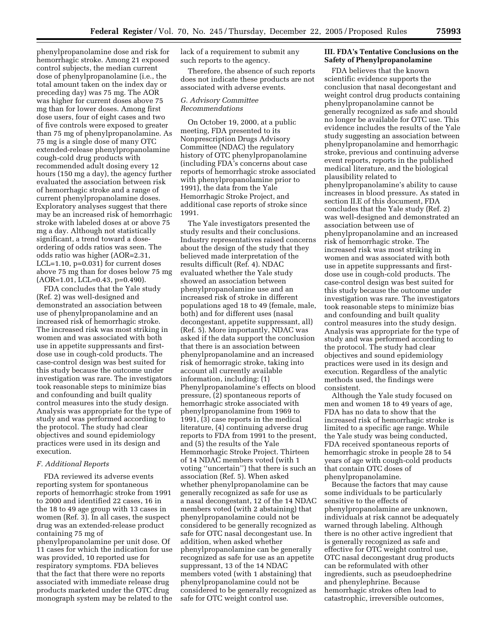phenylpropanolamine dose and risk for hemorrhagic stroke. Among 21 exposed control subjects, the median current dose of phenylpropanolamine (i.e., the total amount taken on the index day or preceding day) was 75 mg. The AOR was higher for current doses above 75 mg than for lower doses. Among first dose users, four of eight cases and two of five controls were exposed to greater than 75 mg of phenylpropanolamine. As 75 mg is a single dose of many OTC extended-release phenylpropanolamine cough-cold drug products with recommended adult dosing every 12 hours (150 mg a day), the agency further evaluated the association between risk of hemorrhagic stroke and a range of current phenylpropanolamine doses. Exploratory analyses suggest that there may be an increased risk of hemorrhagic stroke with labeled doses at or above 75 mg a day. Although not statistically significant, a trend toward a doseordering of odds ratios was seen. The odds ratio was higher (AOR=2.31, LCL=1.10, p=0.031) for current doses above 75 mg than for doses below 75 mg (AOR=1.01, LCL=0.43, p=0.490).

FDA concludes that the Yale study (Ref. 2) was well-designed and demonstrated an association between use of phenylpropanolamine and an increased risk of hemorrhagic stroke. The increased risk was most striking in women and was associated with both use in appetite suppressants and firstdose use in cough-cold products. The case-control design was best suited for this study because the outcome under investigation was rare. The investigators took reasonable steps to minimize bias and confounding and built quality control measures into the study design. Analysis was appropriate for the type of study and was performed according to the protocol. The study had clear objectives and sound epidemiology practices were used in its design and execution.

#### *F. Additional Reports*

FDA reviewed its adverse events reporting system for spontaneous reports of hemorrhagic stroke from 1991 to 2000 and identified 22 cases, 16 in the 18 to 49 age group with 13 cases in women (Ref. 3). In all cases, the suspect drug was an extended-release product containing 75 mg of phenylpropanolamine per unit dose. Of

11 cases for which the indication for use was provided, 10 reported use for respiratory symptoms. FDA believes that the fact that there were no reports associated with immediate release drug products marketed under the OTC drug monograph system may be related to the lack of a requirement to submit any such reports to the agency.

Therefore, the absence of such reports does not indicate these products are not associated with adverse events.

### *G. Advisory Committee Recommendations*

On October 19, 2000, at a public meeting, FDA presented to its Nonprescription Drugs Advisory Committee (NDAC) the regulatory history of OTC phenylpropanolamine (including FDA's concerns about case reports of hemorrhagic stroke associated with phenylpropanolamine prior to 1991), the data from the Yale Hemorrhagic Stroke Project, and additional case reports of stroke since 1991.

The Yale investigators presented the study results and their conclusions. Industry representatives raised concerns about the design of the study that they believed made interpretation of the results difficult (Ref. 4). NDAC evaluated whether the Yale study showed an association between phenylpropanolamine use and an increased risk of stroke in different populations aged 18 to 49 (female, male, both) and for different uses (nasal decongestant, appetite suppressant, all) (Ref. 5). More importantly, NDAC was asked if the data support the conclusion that there is an association between phenylpropanolamine and an increased risk of hemorragic stroke, taking into account all currently available information, including: (1) Phenylpropanolamine's effects on blood pressure, (2) spontaneous reports of hemorrhagic stroke associated with phenylpropanolamine from 1969 to 1991, (3) case reports in the medical literature, (4) continuing adverse drug reports to FDA from 1991 to the present, and (5) the results of the Yale Hemmorhagic Stroke Project. Thirteen of 14 NDAC members voted (with 1 voting ''uncertain'') that there is such an association (Ref. 5). When asked whether phenylpropanolamine can be generally recognized as safe for use as a nasal decongestant, 12 of the 14 NDAC members voted (with 2 abstaining) that phenylpropanolamine could not be considered to be generally recognized as safe for OTC nasal decongestant use. In addition, when asked whether phenylpropanolamine can be generally recognized as safe for use as an appetite suppressant, 13 of the 14 NDAC members voted (with 1 abstaining) that phenylpropanolamine could not be considered to be generally recognized as safe for OTC weight control use.

## **III. FDA's Tentative Conclusions on the Safety of Phenylpropanolamine**

FDA believes that the known scientific evidence supports the conclusion that nasal decongestant and weight control drug products containing phenylpropanolamine cannot be generally recognized as safe and should no longer be available for OTC use. This evidence includes the results of the Yale study suggesting an association between phenylpropanolamine and hemorrhagic stroke, previous and continuing adverse event reports, reports in the published medical literature, and the biological plausibility related to phenylpropanolamine's ability to cause increases in blood pressure. As stated in section II.E of this document, FDA concludes that the Yale study (Ref. 2) was well-designed and demonstrated an association between use of phenylpropanolamine and an increased risk of hemorrhagic stroke. The increased risk was most striking in women and was associated with both use in appetite suppressants and firstdose use in cough-cold products. The case-control design was best suited for this study because the outcome under investigation was rare. The investigators took reasonable steps to minimize bias and confounding and built quality control measures into the study design. Analysis was appropriate for the type of study and was performed according to the protocol. The study had clear objectives and sound epidemiology practices were used in its design and execution. Regardless of the analytic methods used, the findings were consistent.

Although the Yale study focused on men and women 18 to 49 years of age, FDA has no data to show that the increased risk of hemorrhagic stroke is limited to a specific age range. While the Yale study was being conducted, FDA received spontaneous reports of hemorrhagic stroke in people 28 to 54 years of age with cough-cold products that contain OTC doses of phenylpropanolamine.

Because the factors that may cause some individuals to be particularly sensitive to the effects of phenylpropanolamine are unknown, individuals at risk cannot be adequately warned through labeling. Although there is no other active ingredient that is generally recognized as safe and effective for OTC weight control use, OTC nasal decongestant drug products can be reformulated with other ingredients, such as pseudoephedrine and phenylephrine. Because hemorrhagic strokes often lead to catastrophic, irreversible outcomes,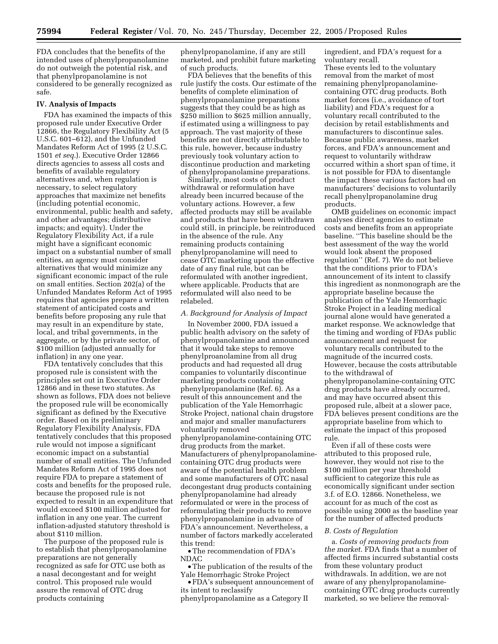FDA concludes that the benefits of the intended uses of phenylpropanolamine do not outweigh the potential risk, and that phenylpropanolamine is not considered to be generally recognized as safe.

#### **IV. Analysis of Impacts**

FDA has examined the impacts of this proposed rule under Executive Order 12866, the Regulatory Flexibility Act (5 U.S.C. 601–612), and the Unfunded Mandates Reform Act of 1995 (2 U.S.C. 1501 *et seq.*). Executive Order 12866 directs agencies to assess all costs and benefits of available regulatory alternatives and, when regulation is necessary, to select regulatory approaches that maximize net benefits (including potential economic, environmental, public health and safety, and other advantages; distributive impacts; and equity). Under the Regulatory Flexibility Act, if a rule might have a significant economic impact on a substantial number of small entities, an agency must consider alternatives that would minimize any significant economic impact of the rule on small entities. Section 202(a) of the Unfunded Mandates Reform Act of 1995 requires that agencies prepare a written statement of anticipated costs and benefits before proposing any rule that may result in an expenditure by state, local, and tribal governments, in the aggregate, or by the private sector, of \$100 million (adjusted annually for inflation) in any one year.

FDA tentatively concludes that this proposed rule is consistent with the principles set out in Executive Order 12866 and in these two statutes. As shown as follows, FDA does not believe the proposed rule will be economically significant as defined by the Executive order. Based on its preliminary Regulatory Flexibility Analysis, FDA tentatively concludes that this proposed rule would not impose a significant economic impact on a substantial number of small entities. The Unfunded Mandates Reform Act of 1995 does not require FDA to prepare a statement of costs and benefits for the proposed rule, because the proposed rule is not expected to result in an expenditure that would exceed \$100 million adjusted for inflation in any one year. The current inflation-adjusted statutory threshold is about \$110 million.

The purpose of the proposed rule is to establish that phenylpropanolamine preparations are not generally recognized as safe for OTC use both as a nasal decongestant and for weight control. This proposed rule would assure the removal of OTC drug products containing

phenylpropanolamine, if any are still marketed, and prohibit future marketing of such products.

FDA believes that the benefits of this rule justify the costs. Our estimate of the benefits of complete elimination of phenylpropanolamine preparations suggests that they could be as high as \$250 million to \$625 million annually, if estimated using a willingness to pay approach. The vast majority of these benefits are not directly attributable to this rule, however, because industry previously took voluntary action to discontinue production and marketing of phenylpropanolamine preparations.

Similarly, most costs of product withdrawal or reformulation have already been incurred because of the voluntary actions. However, a few affected products may still be available and products that have been withdrawn could still, in principle, be reintroduced in the absence of the rule. Any remaining products containing phenylpropanolamine will need to cease OTC marketing upon the effective date of any final rule, but can be reformulated with another ingredient, where applicable. Products that are reformulated will also need to be relabeled.

## *A. Background for Analysis of Impact*

In November 2000, FDA issued a public health advisory on the safety of phenylpropanolamine and announced that it would take steps to remove phenylproanolamine from all drug products and had requested all drug companies to voluntarily discontinue marketing products containing phenylpropanolamine (Ref. 6). As a result of this announcement and the publication of the Yale Hemorrhagic Stroke Project, national chain drugstore and major and smaller manufacturers voluntarily removed phenylpropanolamine-containing OTC drug products from the market. Manufacturers of phenylpropanolaminecontaining OTC drug products were aware of the potential health problem and some manufacturers of OTC nasal decongestant drug products containing phenylpropanolamine had already reformulated or were in the process of reformulating their products to remove phenylpropanolamine in advance of FDA's announcement. Nevertheless, a number of factors markedly accelerated this trend:

•The recommendation of FDA's NDAC

•The publication of the results of the Yale Hemorrhagic Stroke Project

• FDA's subsequent announcement of its intent to reclassify

phenylpropanolamine as a Category II

ingredient, and FDA's request for a voluntary recall.

These events led to the voluntary removal from the market of most remaining phenylpropanolaminecontaining OTC drug products. Both market forces (i.e., avoidance of tort liability) and FDA's request for a voluntary recall contributed to the decision by retail establishments and manufacturers to discontinue sales. Because public awareness, market forces, and FDA's announcement and request to voluntarily withdraw occurred within a short span of time, it is not possible for FDA to disentangle the impact these various factors had on manufacturers' decisions to voluntarily recall phenylpropanolamine drug products.

OMB guidelines on economic impact analyses direct agencies to estimate costs and benefits from an appropriate baseline. ''This baseline should be the best assessment of the way the world would look absent the proposed regulation'' (Ref. 7). We do not believe that the conditions prior to FDA's announcement of its intent to classify this ingredient as nonmonograph are the appropriate baseline because the publication of the Yale Hemorrhagic Stroke Project in a leading medical journal alone would have generated a market response. We acknowledge that the timing and wording of FDAs public announcement and request for voluntary recalls contributed to the magnitude of the incurred costs. However, because the costs attributable to the withdrawal of phenylpropanolamine-containing OTC drug products have already occurred, and may have occurred absent this proposed rule, albeit at a slower pace, FDA believes present conditions are the appropriate baseline from which to estimate the impact of this proposed rule.

Even if all of these costs were attributed to this proposed rule, however, they would not rise to the \$100 million per year threshold sufficient to categorize this rule as economically significant under section 3.f. of E.O. 12866. Nonetheless, we account for as much of the cost as possible using 2000 as the baseline year for the number of affected products

#### *B. Costs of Regulation*

a. *Costs of removing products from the market*. FDA finds that a number of affected firms incurred substantial costs from these voluntary product withdrawals. In addition, we are not aware of any phenylpropanolaminecontaining OTC drug products currently marketed, so we believe the removal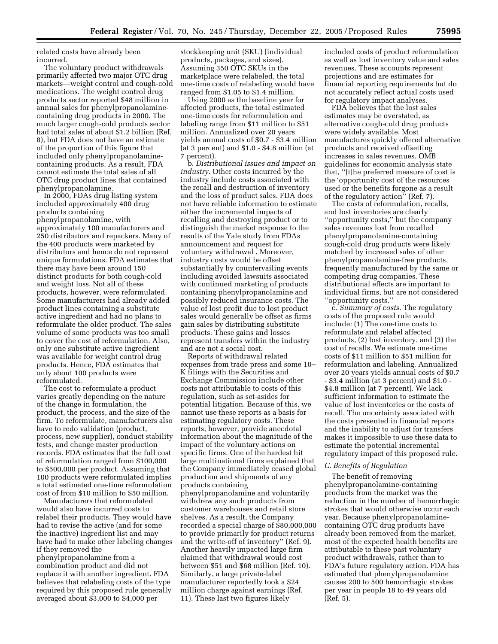related costs have already been incurred.

The voluntary product withdrawals primarily affected two major OTC drug markets—weight control and cough-cold medications. The weight control drug products sector reported \$48 million in annual sales for phenylpropanolaminecontaining drug products in 2000. The much larger cough-cold products sector had total sales of about \$1.2 billion (Ref. 8), but FDA does not have an estimate of the proportion of this figure that included only phenylpropanolaminecontaining products. As a result, FDA cannot estimate the total sales of all OTC drug product lines that contained phenylpropanolamine.

In 2000, FDAs drug listing system included approximately 400 drug products containing phenylpropanolamine, with approximately 100 manufacturers and 250 distributors and repackers. Many of the 400 products were marketed by distributors and hence do not represent unique formulations. FDA estimates that there may have been around 150 distinct products for both cough-cold and weight loss. Not all of these products, however, were reformulated. Some manufacturers had already added product lines containing a substitute active ingredient and had no plans to reformulate the older product. The sales volume of some products was too small to cover the cost of reformulation. Also, only one substitute active ingredient was available for weight control drug products. Hence, FDA estimates that only about 100 products were reformulated.

The cost to reformulate a product varies greatly depending on the nature of the change in formulation, the product, the process, and the size of the firm. To reformulate, manufacturers also have to redo validation (product, process, new supplier), conduct stability tests, and change master production records. FDA estimates that the full cost of reformulation ranged from \$100,000 to \$500,000 per product. Assuming that 100 products were reformulated implies a total estimated one-time reformulation cost of from \$10 million to \$50 million.

Manufacturers that reformulated would also have incurred costs to relabel their products. They would have had to revise the active (and for some the inactive) ingredient list and may have had to make other labeling changes if they removed the

phenylpropanolamine from a combination product and did not replace it with another ingredient. FDA believes that relabeling costs of the type required by this proposed rule generally averaged about \$3,000 to \$4,000 per

stockkeeping unit (SKU) (individual products, packages, and sizes). Assuming 350 OTC SKUs in the marketplace were relabeled, the total one-time costs of relabeling would have ranged from \$1.05 to \$1.4 million.

Using 2000 as the baseline year for affected products, the total estimated one-time costs for reformulation and labeling range from \$11 million to \$51 million. Annualized over 20 years yields annual costs of \$0.7 - \$3.4 million (at 3 percent) and \$1.0 - \$4.8 million (at 7 percent).

b. *Distributional issues and impact on industry*. Other costs incurred by the industry include costs associated with the recall and destruction of inventory and the loss of product sales. FDA does not have reliable information to estimate either the incremental impacts of recalling and destroying product or to distinguish the market response to the results of the Yale study from FDAs announcement and request for voluntary withdrawal . Moreover, industry costs would be offset substantially by countervailing events including avoided lawsuits associated with continued marketing of products containing phenylpropanolamine and possibly reduced insurance costs. The value of lost profit due to lost product sales would generally be offset as firms gain sales by distributing substitute products. These gains and losses represent transfers within the industry and are not a social cost.

Reports of withdrawal related expenses from trade press and some 10– K filings with the Securities and Exchange Commission include other costs not attributable to costs of this regulation, such as set-asides for potential litigation. Because of this, we cannot use these reports as a basis for estimating regulatory costs. These reports, however, provide anecdotal information about the magnitude of the impact of the voluntary actions on specific firms. One of the hardest hit large multinational firms explained that the Company immediately ceased global production and shipments of any products containing phenylpropanolamine and voluntarily withdrew any such products from customer warehouses and retail store shelves. As a result, the Company recorded a special charge of \$80,000,000 to provide primarily for product returns and the write-off of inventory'' (Ref. 9). Another heavily impacted large firm claimed that withdrawal would cost between \$51 and \$68 million (Ref. 10). Similarly, a large private-label manufacturer reportedly took a \$24 million charge against earnings (Ref. 11). These last two figures likely

included costs of product reformulation as well as lost inventory value and sales revenues. These accounts represent projections and are estimates for financial reporting requirements but do not accurately reflect actual costs used for regulatory impact analyses.

FDA believes that the lost sales estimates may be overstated, as alternative cough-cold drug products were widely available. Most manufactures quickly offered alternative products and received offsetting increases in sales revenues. OMB guidelines for economic analysis state that, ''[t]he preferred measure of cost is the 'opportunity cost of the resources used or the benefits forgone as a result of the regulatory action'' (Ref. 7).

The costs of reformulation, recalls, and lost inventories are clearly ''opportunity costs,'' but the company sales revenues lost from recalled phenylpropanolamine-containing cough-cold drug products were likely matched by increased sales of other phenylpropanolamine-free products, frequently manufactured by the same or competing drug companies. These distributional effects are important to individual firms, but are not considered ''opportunity costs.''

c. *Summary of costs*. The regulatory costs of the proposed rule would include: (1) The one-time costs to reformulate and relabel affected products, (2) lost inventory, and (3) the cost of recalls. We estimate one-time costs of \$11 million to \$51 million for reformulation and labeling. Annualized over 20 years yields annual costs of \$0.7 - \$3.4 million (at 3 percent) and \$1.0 - \$4.8 million (at 7 percent). We lack sufficient information to estimate the value of lost inventories or the costs of recall. The uncertainty associated with the costs presented in financial reports and the inability to adjust for transfers makes it impossible to use these data to estimate the potential incremental regulatory impact of this proposed rule.

# *C. Benefits of Regulation*

The benefit of removing phenylpropanolamine-containing products from the market was the reduction in the number of hemorrhagic strokes that would otherwise occur each year. Because phenylpropanolaminecontaining OTC drug products have already been removed from the market, most of the expected health benefits are attributable to these past voluntary product withdrawals, rather than to FDA's future regulatory action. FDA has estimated that phenylpropanolamine causes 200 to 500 hemorrhagic strokes per year in people 18 to 49 years old (Ref. 5).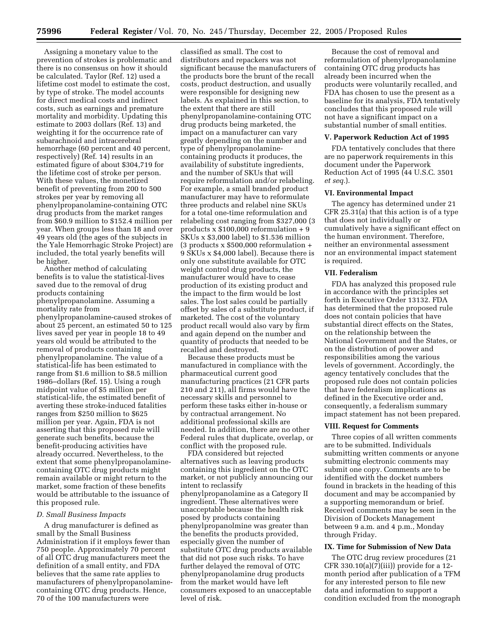Assigning a monetary value to the prevention of strokes is problematic and there is no consensus on how it should be calculated. Taylor (Ref. 12) used a lifetime cost model to estimate the cost, by type of stroke. The model accounts for direct medical costs and indirect costs, such as earnings and premature mortality and morbidity. Updating this estimate to 2003 dollars (Ref. 13) and weighting it for the occurrence rate of subarachnoid and intracerebral hemorrhage (60 percent and 40 percent, respectively) (Ref. 14) results in an estimated figure of about \$304,719 for the lifetime cost of stroke per person. With these values, the monetized benefit of preventing from 200 to 500 strokes per year by removing all phenylpropanolamine-containing OTC drug products from the market ranges from \$60.9 million to \$152.4 million per year. When groups less than 18 and over 49 years old (the ages of the subjects in the Yale Hemorrhagic Stroke Project) are included, the total yearly benefits will be higher.

Another method of calculating benefits is to value the statistical-lives saved due to the removal of drug products containing

phenylpropanolamine. Assuming a mortality rate from

phenylpropanolamine-caused strokes of about 25 percent, an estimated 50 to 125 lives saved per year in people 18 to 49 years old would be attributed to the removal of products containing phenylpropanolamine. The value of a statistical-life has been estimated to range from \$1.6 million to \$8.5 million 1986–dollars (Ref. 15). Using a rough midpoint value of \$5 million per statistical-life, the estimated benefit of averting these stroke-induced fatalities ranges from \$250 million to \$625 million per year. Again, FDA is not asserting that this proposed rule will generate such benefits, because the benefit-producing activities have already occurred. Nevertheless, to the extent that some phenylpropanolaminecontaining OTC drug products might remain available or might return to the market, some fraction of these benefits would be attributable to the issuance of this proposed rule.

## *D. Small Business Impacts*

A drug manufacturer is defined as small by the Small Business Administration if it employs fewer than 750 people. Approximately 70 percent of all OTC drug manufacturers meet the definition of a small entity, and FDA believes that the same rate applies to manufacturers of phenylpropanolaminecontaining OTC drug products. Hence, 70 of the 100 manufacturers were

classified as small. The cost to distributors and repackers was not significant because the manufacturers of the products bore the brunt of the recall costs, product destruction, and usually were responsible for designing new labels. As explained in this section, to the extent that there are still phenylpropanolamine-containing OTC drug products being marketed, the impact on a manufacturer can vary greatly depending on the number and type of phenylpropanolaminecontaining products it produces, the availability of substitute ingredients, and the number of SKUs that will require reformulation and/or relabeling. For example, a small branded product manufacturer may have to reformulate three products and relabel nine SKUs for a total one-time reformulation and relabeling cost ranging from \$327,000 (3 products x \$100,000 reformulation + 9 SKUs x \$3,000 label) to \$1.536 million (3 products  $x$  \$500,000 reformulation  $+$ 9 SKUs x \$4,000 label). Because there is only one substitute available for OTC weight control drug products, the manufacturer would have to cease production of its existing product and the impact to the firm would be lost sales. The lost sales could be partially offset by sales of a substitute product, if marketed. The cost of the voluntary product recall would also vary by firm and again depend on the number and quantity of products that needed to be recalled and destroyed.

Because these products must be manufactured in compliance with the pharmaceutical current good manufacturing practices (21 CFR parts 210 and 211), all firms would have the necessary skills and personnel to perform these tasks either in-house or by contractual arrangement. No additional professional skills are needed. In addition, there are no other Federal rules that duplicate, overlap, or conflict with the proposed rule.

FDA considered but rejected alternatives such as leaving products containing this ingredient on the OTC market, or not publicly announcing our intent to reclassify phenylpropanolamine as a Category II ingredient. These alternatives were unacceptable because the health risk posed by products containing phenylpropanolmine was greater than the benefits the products provided, especially given the number of substitute OTC drug products available that did not pose such risks. To have further delayed the removal of OTC phenylpropanolamine drug products from the market would have left consumers exposed to an unacceptable level of risk.

Because the cost of removal and reformulation of phenylpropanolamine containing OTC drug products has already been incurred when the products were voluntarily recalled, and FDA has chosen to use the present as a baseline for its analysis, FDA tentatively concludes that this proposed rule will not have a significant impact on a substantial number of small entities.

#### **V. Paperwork Reduction Act of 1995**

FDA tentatively concludes that there are no paperwork requirements in this document under the Paperwork Reduction Act of 1995 (44 U.S.C. 3501 *et seq.*).

#### **VI. Environmental Impact**

The agency has determined under 21 CFR 25.31(a) that this action is of a type that does not individually or cumulatively have a significant effect on the human environment. Therefore, neither an environmental assessment nor an environmental impact statement is required.

### **VII. Federalism**

FDA has analyzed this proposed rule in accordance with the principles set forth in Executive Order 13132. FDA has determined that the proposed rule does not contain policies that have substantial direct effects on the States, on the relationship between the National Government and the States, or on the distribution of power and responsibilities among the various levels of government. Accordingly, the agency tentatively concludes that the proposed rule does not contain policies that have federalism implications as defined in the Executive order and, consequently, a federalism summary impact statement has not been prepared.

#### **VIII. Request for Comments**

Three copies of all written comments are to be submitted. Individuals submitting written comments or anyone submitting electronic comments may submit one copy. Comments are to be identified with the docket numbers found in brackets in the heading of this document and may be accompanied by a supporting memorandum or brief. Received comments may be seen in the Division of Dockets Management between 9 a.m. and 4 p.m., Monday through Friday.

## **IX. Time for Submission of New Data**

The OTC drug review procedures (21 CFR 330.10(a)(7)(iii)) provide for a 12 month period after publication of a TFM for any interested person to file new data and information to support a condition excluded from the monograph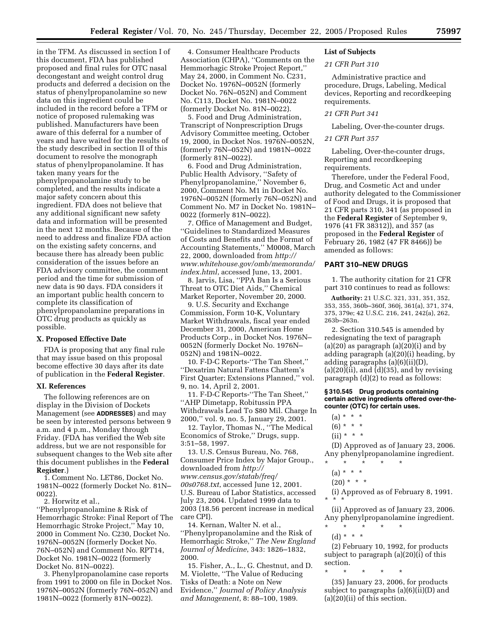in the TFM. As discussed in section I of this document, FDA has published proposed and final rules for OTC nasal decongestant and weight control drug products and deferred a decision on the status of phenylpropanolamine so new data on this ingredient could be included in the record before a TFM or notice of proposed rulemaking was published. Manufacturers have been aware of this deferral for a number of years and have waited for the results of the study described in section II of this document to resolve the monograph status of phenylpropanolamine. It has taken many years for the phenylpropanolamine study to be completed, and the results indicate a major safety concern about this ingredient. FDA does not believe that any additional significant new safety data and information will be presented in the next 12 months. Because of the need to address and finalize FDA action on the existing safety concerns, and because there has already been public consideration of the issues before an FDA advisory committee, the comment period and the time for submission of new data is 90 days. FDA considers it an important public health concern to complete its classification of phenylpropanolamine preparations in OTC drug products as quickly as possible.

# **X. Proposed Effective Date**

FDA is proposing that any final rule that may issue based on this proposal become effective 30 days after its date of publication in the **Federal Register**.

#### **XI. References**

The following references are on display in the Division of Dockets Management (see **ADDRESSES**) and may be seen by interested persons between 9 a.m. and 4 p.m., Monday through Friday. (FDA has verified the Web site address, but we are not responsible for subsequent changes to the Web site after this document publishes in the **Federal Register**.)

1. Comment No. LET86, Docket No. 1981N–0022 (formerly Docket No. 81N– 0022).

2. Horwitz et al.,

''Phenylpropanolamine & Risk of Hemorrhagic Stroke: Final Report of The Hemorrhagic Stroke Project,'' May 10, 2000 in Comment No. C230, Docket No. 1976N–0052N (formerly Docket No. 76N–052N) and Comment No. RPT14, Docket No. 1981N–0022 (formerly Docket No. 81N–0022).

3. Phenylpropanolamine case reports from 1991 to 2000 on file in Docket Nos. 1976N–0052N (formerly 76N–052N) and 1981N–0022 (formerly 81N–0022).

4. Consumer Healthcare Products Association (CHPA), ''Comments on the Hemmorhagic Stroke Project Report,'' May 24, 2000, in Comment No. C231, Docket No. 1976N–0052N (formerly Docket No. 76N–052N) and Comment No. C113, Docket No. 1981N–0022 (formerly Docket No. 81N–0022).

5. Food and Drug Administration, Transcript of Nonprescription Drugs Advisory Committee meeting, October 19, 2000, in Docket Nos. 1976N–0052N, (formerly 76N–052N) and 1981N–0022 (formerly 81N–0022).

6. Food and Drug Administration, Public Health Advisory, ''Safety of Phenylpropanolamine,'' November 6, 2000, Comment No. M1 in Docket No. 1976N–0052N (formerly 76N–052N) and Comment No. M7 in Docket No. 1981N– 0022 (formerly 81N–0022).

7. Office of Management and Budget, ''Guidelines to Standardized Measures of Costs and Benefits and the Format of Accounting Statements,'' M0008, March 22, 2000, downloaded from *http:// www.whitehouse.gov/omb/memoranda/ index.html*, accessed June, 13, 2001.

8. Jarvis, Lisa, ''PPA Ban Is a Serious Threat to OTC Diet Aids,'' Chemical Market Reporter, November 20, 2000.

9. U.S. Security and Exchange Commission, Form 10-K, Voluntary Market Withdrawals, fiscal year ended December 31, 2000, American Home Products Corp., in Docket Nos. 1976N– 0052N (formerly Docket No. 1976N– 052N) and 1981N–0022.

10. F-D-C Reports-''The Tan Sheet,'' ''Dexatrim Natural Fattens Chattem's First Quarter; Extensions Planned,'' vol. 9, no. 14, April 2, 2001.

11. F-D-C Reports-''The Tan Sheet,'' ''AHP Dimetapp, Robitussin PPA Withdrawals Lead To \$80 Mil. Charge In 2000,'' vol. 9, no. 5, January 29, 2001.

12. Taylor, Thomas N., ''The Medical Economics of Stroke,'' Drugs, supp. 3:51–58, 1997.

13. U.S. Census Bureau, No. 768, Consumer Price Index by Major Group., downloaded from *http:// www.census.gov/statab/freq/ 00s0768.txt*, accessed June 12, 2001. U.S. Bureau of Labor Statistics, accessed July 23, 2004. Updated 1999 data to 2003 (18.56 percent increase in medical care CPI).

14. Kernan, Walter N. et al., ''Phenylpropanolamine and the Risk of Hemorrhagic Stroke,'' *The New England Journal of Medicine*, 343: 1826–1832, 2000.

15. Fisher, A., L., G. Chestnut, and D. M. Violette, ''The Value of Reducing Tisks of Death: a Note on New Evidence,'' *Journal of Policy Analysis and Management*, 8: 88–100, 1989.

# **List of Subjects**

#### *21 CFR Part 310*

Administrative practice and procedure, Drugs, Labeling, Medical devices, Reporting and recordkeeping requirements.

### *21 CFR Part 341*

Labeling, Over-the-counter drugs.

# *21 CFR Part 357*

Labeling, Over-the-counter drugs, Reporting and recordkeeping requirements.

Therefore, under the Federal Food, Drug, and Cosmetic Act and under authority delegated to the Commissioner of Food and Drugs, it is proposed that 21 CFR parts 310, 341 (as proposed in the **Federal Register** of September 9, 1976 (41 FR 38312)), and 357 (as proposed in the **Federal Register** of February 26, 1982 (47 FR 8466)) be amended as follows:

# **PART 310–NEW DRUGS**

1. The authority citation for 21 CFR part 310 continues to read as follows:

**Authority:** 21 U.S.C. 321, 331, 351, 352, 353, 355, 360b–360f, 360j, 361(a), 371, 374, 375, 379e; 42 U.S.C. 216, 241, 242(a), 262, 263b–263n.

2. Section 310.545 is amended by redesignating the text of paragraph  $(a)(20)$  as paragraph  $(a)(20)(i)$  and by adding paragraph (a)(20)(i) heading, by adding paragraphs (a)(6)(ii)(D),  $(a)(20)(ii)$ , and  $(d)(35)$ , and by revising paragraph (d)(2) to read as follows:

### **§ 310.545 Drug products containing certain active ingredients offered over-thecounter (OTC) for certain uses.**

- $(a) * * * *$
- $(6) * * * *$
- $(ii) * * * *$

(D) Approved as of January 23, 2006. Any phenylpropanolamine ingredient. \* \* \* \* \*

- 
- (a) \* \* \*
- $(20) * * * *$

(i) Approved as of February 8, 1991. \* \* \*

(ii) Approved as of January 23, 2006. Any phenylpropanolamine ingredient. \* \* \* \* \*

(d) \* \* \*

(2) February 10, 1992, for products subject to paragraph (a)(20)(i) of this section.

\* \* \* \* \* (35) January 23, 2006, for products subject to paragraphs (a)(6)(ii)(D) and (a)(20)(ii) of this section.